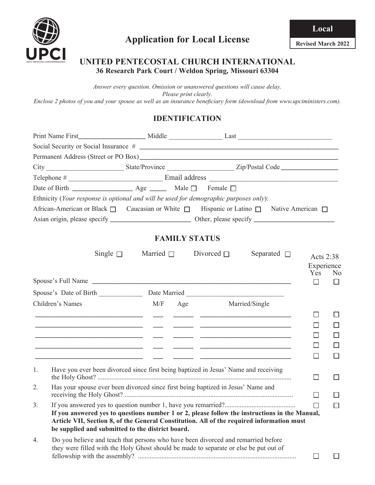

#### **UNITED PENTECOSTAL CHURCH INTERNATIONAL 36 Research Park Court / Weldon Spring, Missouri 63304**

*Answer every question. Omission or unanswered questions will cause delay. Please print clearly. Enclose 2 photos of you and your spouse as well as an insurance beneficiary form (download from www.upciministers.com).*

## **IDENTIFICATION**

|             | Ethnicity (Your response is optional and will be used for demographic purposes only):                                                                                                                                                          |                                |                  |                                |                |
|-------------|------------------------------------------------------------------------------------------------------------------------------------------------------------------------------------------------------------------------------------------------|--------------------------------|------------------|--------------------------------|----------------|
|             | African-American or Black □ Caucasian or White □ Hispanic or Latino □ Native American □                                                                                                                                                        |                                |                  |                                |                |
|             |                                                                                                                                                                                                                                                |                                |                  |                                |                |
|             |                                                                                                                                                                                                                                                | <b>FAMILY STATUS</b>           |                  |                                |                |
|             | Single $\square$                                                                                                                                                                                                                               | Married $\Box$ Divorced $\Box$ | Separated $\Box$ | Acts 2:38<br>Experience<br>Yes | N <sub>0</sub> |
|             |                                                                                                                                                                                                                                                |                                |                  | $\Box$                         | $\Box$         |
|             |                                                                                                                                                                                                                                                |                                |                  |                                |                |
|             | Children's Names                                                                                                                                                                                                                               | M/F Age Married/Single         |                  |                                |                |
|             |                                                                                                                                                                                                                                                |                                |                  | $\Box$                         |                |
|             |                                                                                                                                                                                                                                                |                                |                  |                                |                |
|             | <u> 1999 - Jacques Alexandro, poeta estado en la contrador de la contrador de la contrador de la contrador de la</u>                                                                                                                           |                                |                  |                                |                |
|             |                                                                                                                                                                                                                                                |                                |                  |                                |                |
|             |                                                                                                                                                                                                                                                |                                |                  | $\Box$                         | ш              |
| $1_{\cdot}$ | Have you ever been divorced since first being baptized in Jesus' Name and receiving                                                                                                                                                            |                                |                  | □                              | ப              |
| 2.          | Has your spouse ever been divorced since first being baptized in Jesus' Name and                                                                                                                                                               |                                |                  | $\Box$                         |                |
| 3.          | If you answered yes to questions number 1 or 2, please follow the instructions in the Manual,<br>Article VII, Section 8, of the General Constitution. All of the required information must<br>be supplied and submitted to the district board. |                                |                  |                                |                |
| 4.          | Do you believe and teach that persons who have been divorced and remarried before<br>they were filled with the Holy Ghost should be made to separate or else be put out of                                                                     |                                |                  | ப                              |                |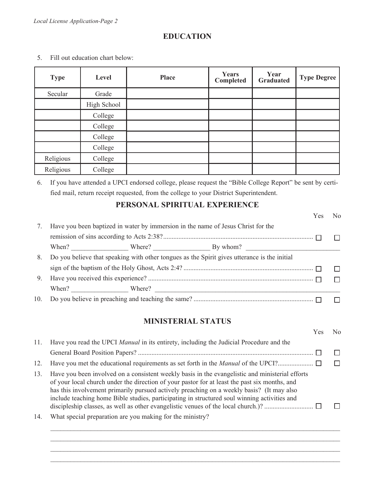#### **EDUCATION**

- **Type Level Place Place Place Place Place Place Place Place Place Place Place Place Place Place Place Place Place Place Place Place Place Place Place Place Place Place Year Graduated Type Degree** Secular Grade High School College College College College Religious College Religious | College
- 5. Fill out education chart below:

6. If you have attended a UPCI endorsed college, please request the "Bible College Report" be sent by certified mail, return receipt requested, from the college to your District Superintendent.

#### **PERSONAL SPIRITUAL EXPERIENCE**

|    |  |                                                                                              | Yes | No. |
|----|--|----------------------------------------------------------------------------------------------|-----|-----|
| 7. |  | Have you been baptized in water by immersion in the name of Jesus Christ for the             |     |     |
|    |  |                                                                                              |     |     |
|    |  | When? Where? By whom?                                                                        |     |     |
| 8. |  | Do you believe that speaking with other tongues as the Spirit gives utterance is the initial |     |     |
|    |  |                                                                                              |     |     |
| 9. |  |                                                                                              |     |     |
|    |  |                                                                                              |     |     |
|    |  |                                                                                              |     |     |

#### **MINISTERIAL STATUS**

|     |                                                                                                                                                                                                                                                                                                                                                                                               | Nο |
|-----|-----------------------------------------------------------------------------------------------------------------------------------------------------------------------------------------------------------------------------------------------------------------------------------------------------------------------------------------------------------------------------------------------|----|
| 11. | Have you read the UPCI <i>Manual</i> in its entirety, including the Judicial Procedure and the                                                                                                                                                                                                                                                                                                |    |
|     |                                                                                                                                                                                                                                                                                                                                                                                               |    |
| 12. |                                                                                                                                                                                                                                                                                                                                                                                               |    |
| 13. | Have you been involved on a consistent weekly basis in the evangelistic and ministerial efforts<br>of your local church under the direction of your pastor for at least the past six months, and<br>has this involvement primarily pursued actively preaching on a weekly basis? (It may also<br>include teaching home Bible studies, participating in structured soul winning activities and |    |
| 14. | What special preparation are you making for the ministry?                                                                                                                                                                                                                                                                                                                                     |    |

 $\mathcal{L}_\text{max} = \frac{1}{2} \sum_{i=1}^{n} \frac{1}{2} \sum_{i=1}^{n} \frac{1}{2} \sum_{i=1}^{n} \frac{1}{2} \sum_{i=1}^{n} \frac{1}{2} \sum_{i=1}^{n} \frac{1}{2} \sum_{i=1}^{n} \frac{1}{2} \sum_{i=1}^{n} \frac{1}{2} \sum_{i=1}^{n} \frac{1}{2} \sum_{i=1}^{n} \frac{1}{2} \sum_{i=1}^{n} \frac{1}{2} \sum_{i=1}^{n} \frac{1}{2} \sum_{i=1}^{n} \frac{1$  $\mathcal{L}_\mathcal{L} = \mathcal{L}_\mathcal{L} = \mathcal{L}_\mathcal{L} = \mathcal{L}_\mathcal{L} = \mathcal{L}_\mathcal{L} = \mathcal{L}_\mathcal{L} = \mathcal{L}_\mathcal{L} = \mathcal{L}_\mathcal{L} = \mathcal{L}_\mathcal{L} = \mathcal{L}_\mathcal{L} = \mathcal{L}_\mathcal{L} = \mathcal{L}_\mathcal{L} = \mathcal{L}_\mathcal{L} = \mathcal{L}_\mathcal{L} = \mathcal{L}_\mathcal{L} = \mathcal{L}_\mathcal{L} = \mathcal{L}_\mathcal{L}$  $\mathcal{L}_\text{max} = \frac{1}{2} \sum_{i=1}^{n} \frac{1}{2} \sum_{i=1}^{n} \frac{1}{2} \sum_{i=1}^{n} \frac{1}{2} \sum_{i=1}^{n} \frac{1}{2} \sum_{i=1}^{n} \frac{1}{2} \sum_{i=1}^{n} \frac{1}{2} \sum_{i=1}^{n} \frac{1}{2} \sum_{i=1}^{n} \frac{1}{2} \sum_{i=1}^{n} \frac{1}{2} \sum_{i=1}^{n} \frac{1}{2} \sum_{i=1}^{n} \frac{1}{2} \sum_{i=1}^{n} \frac{1$  $\mathcal{L}_\text{max} = \frac{1}{2} \sum_{i=1}^{n} \frac{1}{2} \sum_{i=1}^{n} \frac{1}{2} \sum_{i=1}^{n} \frac{1}{2} \sum_{i=1}^{n} \frac{1}{2} \sum_{i=1}^{n} \frac{1}{2} \sum_{i=1}^{n} \frac{1}{2} \sum_{i=1}^{n} \frac{1}{2} \sum_{i=1}^{n} \frac{1}{2} \sum_{i=1}^{n} \frac{1}{2} \sum_{i=1}^{n} \frac{1}{2} \sum_{i=1}^{n} \frac{1}{2} \sum_{i=1}^{n} \frac{1$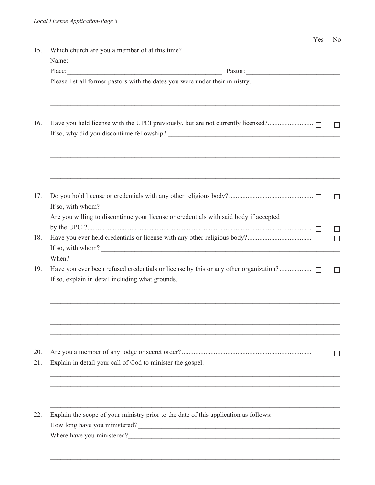| Place:                                                                                                     |  |
|------------------------------------------------------------------------------------------------------------|--|
| Please list all former pastors with the dates you were under their ministry.                               |  |
|                                                                                                            |  |
|                                                                                                            |  |
| If so, with whom?<br>Are you willing to discontinue your license or credentials with said body if accepted |  |
| If so, with whom?<br>When?                                                                                 |  |
| If so, explain in detail including what grounds.                                                           |  |
|                                                                                                            |  |
| Explain in detail your call of God to minister the gospel.                                                 |  |
|                                                                                                            |  |
| Explain the scope of your ministry prior to the date of this application as follows:                       |  |
| How long have you ministered?                                                                              |  |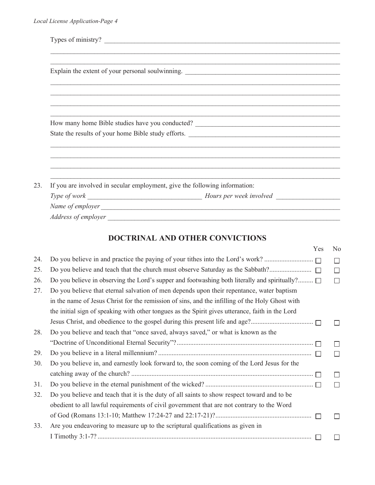| Types of ministry?                                                         |
|----------------------------------------------------------------------------|
|                                                                            |
|                                                                            |
|                                                                            |
|                                                                            |
|                                                                            |
|                                                                            |
| State the results of your home Bible study efforts.                        |
|                                                                            |
|                                                                            |
|                                                                            |
| If you are involved in secular employment, give the following information: |
|                                                                            |
|                                                                            |
|                                                                            |

# **DOCTRINAL AND OTHER CONVICTIONS**

|     |                                                                                                  | Yes    | N <sub>0</sub> |
|-----|--------------------------------------------------------------------------------------------------|--------|----------------|
| 24. |                                                                                                  |        | П              |
| 25. | Do you believe and teach that the church must observe Saturday as the Sabbath?                   | $\Box$ | П              |
| 26. | Do you believe in observing the Lord's supper and footwashing both literally and spiritually?    |        | П              |
| 27. | Do you believe that eternal salvation of men depends upon their repentance, water baptism        |        |                |
|     | in the name of Jesus Christ for the remission of sins, and the infilling of the Holy Ghost with  |        |                |
|     | the initial sign of speaking with other tongues as the Spirit gives utterance, faith in the Lord |        |                |
|     |                                                                                                  |        |                |
| 28. | Do you believe and teach that "once saved, always saved," or what is known as the                |        |                |
|     |                                                                                                  |        | П              |
| 29. |                                                                                                  |        | $\Box$         |
| 30. | Do you believe in, and earnestly look forward to, the soon coming of the Lord Jesus for the      |        |                |
|     |                                                                                                  |        | $\mathbf{L}$   |
| 31. |                                                                                                  |        | П              |
| 32. | Do you believe and teach that it is the duty of all saints to show respect toward and to be      |        |                |
|     | obedient to all lawful requirements of civil government that are not contrary to the Word        |        |                |
|     |                                                                                                  |        |                |
| 33. | Are you endeavoring to measure up to the scriptural qualifications as given in                   |        |                |
|     |                                                                                                  |        |                |
|     |                                                                                                  |        |                |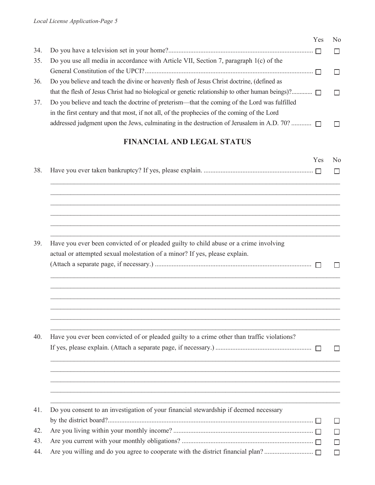|     |                                                                                                  | Yes | N <sub>0</sub> |
|-----|--------------------------------------------------------------------------------------------------|-----|----------------|
| 34. |                                                                                                  |     | $\Box$         |
| 35. | Do you use all media in accordance with Article VII, Section 7, paragraph 1(c) of the            |     |                |
|     |                                                                                                  |     |                |
| 36. | Do you believe and teach the divine or heavenly flesh of Jesus Christ doctrine, (defined as      |     |                |
|     | that the flesh of Jesus Christ had no biological or genetic relationship to other human beings)? |     |                |
| 37. | Do you believe and teach the doctrine of preterism—that the coming of the Lord was fulfilled     |     |                |
|     | in the first century and that most, if not all, of the prophecies of the coming of the Lord      |     |                |
|     | addressed judgment upon the Jews, culminating in the destruction of Jerusalem in A.D. 70?        |     |                |
|     |                                                                                                  |     |                |

# **FINANCIAL AND LEGAL STATUS**

|                                                                                             | Yes | No     |
|---------------------------------------------------------------------------------------------|-----|--------|
|                                                                                             |     | П      |
|                                                                                             |     |        |
|                                                                                             |     |        |
|                                                                                             |     |        |
| Have you ever been convicted of or pleaded guilty to child abuse or a crime involving       |     |        |
| actual or attempted sexual molestation of a minor? If yes, please explain.                  |     |        |
|                                                                                             |     |        |
|                                                                                             |     |        |
|                                                                                             |     |        |
|                                                                                             |     |        |
|                                                                                             |     |        |
| Have you ever been convicted of or pleaded guilty to a crime other than traffic violations? |     |        |
|                                                                                             |     |        |
|                                                                                             |     |        |
|                                                                                             |     |        |
|                                                                                             |     |        |
| Do you consent to an investigation of your financial stewardship if deemed necessary        |     |        |
|                                                                                             |     | $\Box$ |
|                                                                                             |     | П      |
|                                                                                             |     | $\Box$ |
|                                                                                             |     | $\Box$ |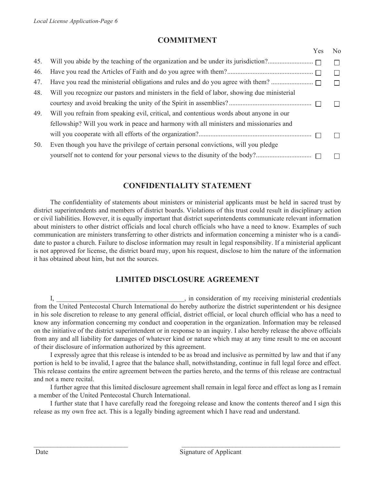## **COMMITMENT**

|     |                                                                                             | Yes | N <sub>0</sub> |
|-----|---------------------------------------------------------------------------------------------|-----|----------------|
| 45. |                                                                                             |     |                |
| 46. |                                                                                             |     | П              |
| 47. |                                                                                             |     |                |
| 48. | Will you recognize our pastors and ministers in the field of labor, showing due ministerial |     |                |
|     |                                                                                             |     |                |
| 49. | Will you refrain from speaking evil, critical, and contentious words about anyone in our    |     |                |
|     | fellowship? Will you work in peace and harmony with all ministers and missionaries and      |     |                |
|     |                                                                                             |     |                |
| 50. | Even though you have the privilege of certain personal convictions, will you pledge         |     |                |
|     | yourself not to contend for your personal views to the disunity of the body?                |     |                |
|     |                                                                                             |     |                |

## **CONFIDENTIALITY STATEMENT**

The confidentiality of statements about ministers or ministerial applicants must be held in sacred trust by district superintendents and members of district boards. Violations of this trust could result in disciplinary action or civil liabilities. However, it is equally important that district superintendents communicate relevant information about ministers to other district officials and local church officials who have a need to know. Examples of such communication are ministers transferring to other districts and information concerning a minister who is a candidate to pastor a church. Failure to disclose information may result in legal responsibility. If a ministerial applicant is not approved for license, the district board may, upon his request, disclose to him the nature of the information it has obtained about him, but not the sources.

## **LIMITED DISCLOSURE AGREEMENT**

I, \_\_\_\_\_\_\_\_\_\_\_\_\_\_\_\_\_\_\_\_\_\_\_\_\_\_\_\_\_\_\_, in consideration of my receiving ministerial credentials from the United Pentecostal Church International do hereby authorize the district superintendent or his designee in his sole discretion to release to any general official, district official, or local church official who has a need to know any information concerning my conduct and cooperation in the organization. Information may be released on the initiative of the district superintendent or in response to an inquiry. I also hereby release the above officials from any and all liability for damages of whatever kind or nature which may at any time result to me on account of their disclosure of information authorized by this agreement.

I expressly agree that this release is intended to be as broad and inclusive as permitted by law and that if any portion is held to be invalid, I agree that the balance shall, notwithstanding, continue in full legal force and effect. This release contains the entire agreement between the parties hereto, and the terms of this release are contractual and not a mere recital.

I further agree that this limited disclosure agreement shall remain in legal force and effect as long as I remain a member of the United Pentecostal Church International.

I further state that I have carefully read the foregoing release and know the contents thereof and I sign this release as my own free act. This is a legally binding agreement which I have read and understand.

\_\_\_\_\_\_\_\_\_\_\_\_\_\_\_\_\_\_\_\_\_\_\_\_\_\_\_\_ \_\_\_\_\_\_\_\_\_\_\_\_\_\_\_\_\_\_\_\_\_\_\_\_\_\_\_\_\_\_\_\_\_\_\_\_\_\_\_\_\_\_\_\_\_\_\_